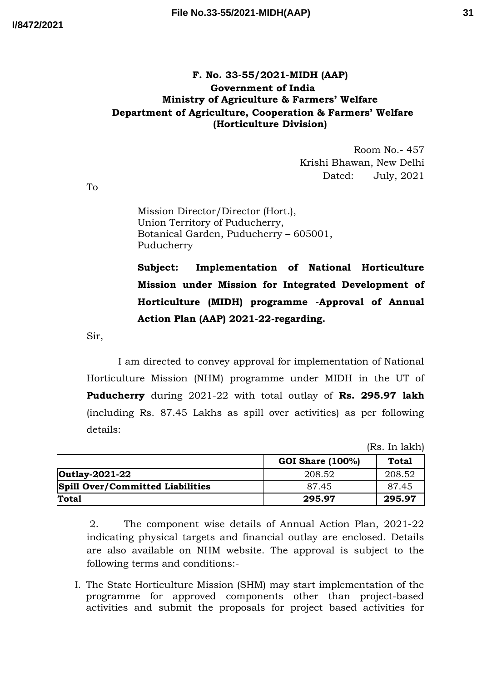## **F. No. 33-55/2021-MIDH (AAP) Government of India Ministry of Agriculture & Farmers' Welfare Department of Agriculture, Cooperation & Farmers' Welfare (Horticulture Division)**

Room No.- 457 Krishi Bhawan, New Delhi Dated: July, 2021

To

Mission Director/Director (Hort.), Union Territory of Puducherry, Botanical Garden, Puducherry – 605001, Puducherry

**Subject: Implementation of National Horticulture Mission under Mission for Integrated Development of Horticulture (MIDH) programme -Approval of Annual Action Plan (AAP) 2021-22-regarding.**

Sir,

I am directed to convey approval for implementation of National Horticulture Mission (NHM) programme under MIDH in the UT of **Puducherry** during 2021-22 with total outlay of **Rs. 295.97 lakh** (including Rs. 87.45 Lakhs as spill over activities) as per following details:

(Rs. In lakh)

|                                         |                         | $1 + 10$ |
|-----------------------------------------|-------------------------|----------|
|                                         | <b>GOI Share (100%)</b> | Total    |
| Outlay-2021-22                          | 208.52                  | 208.52   |
| <b>Spill Over/Committed Liabilities</b> | 87.45                   | 87.45    |
| <b>Total</b>                            | 295.97                  | 295.97   |

2. The component wise details of Annual Action Plan, 2021-22 indicating physical targets and financial outlay are enclosed. Details are also available on NHM website. The approval is subject to the following terms and conditions:-

I. The State Horticulture Mission (SHM) may start implementation of the programme for approved components other than project-based activities and submit the proposals for project based activities for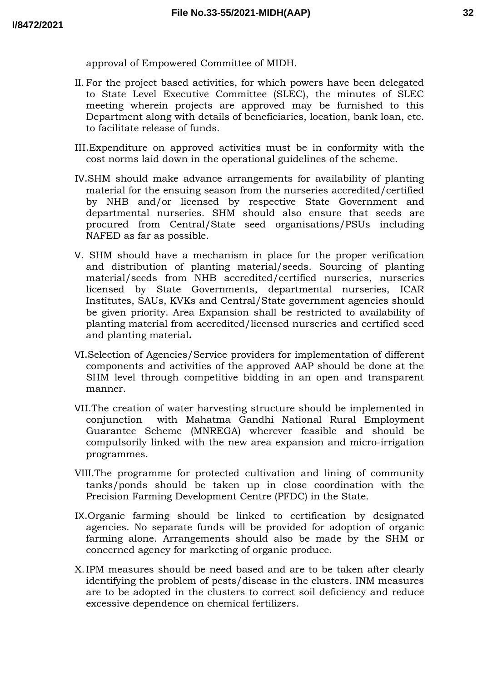approval of Empowered Committee of MIDH.

- II. For the project based activities, for which powers have been delegated to State Level Executive Committee (SLEC), the minutes of SLEC meeting wherein projects are approved may be furnished to this Department along with details of beneficiaries, location, bank loan, etc. to facilitate release of funds.
- III.Expenditure on approved activities must be in conformity with the cost norms laid down in the operational guidelines of the scheme.
- IV.SHM should make advance arrangements for availability of planting material for the ensuing season from the nurseries accredited/certified by NHB and/or licensed by respective State Government and departmental nurseries. SHM should also ensure that seeds are procured from Central/State seed organisations/PSUs including NAFED as far as possible.
- V. SHM should have a mechanism in place for the proper verification and distribution of planting material/seeds. Sourcing of planting material/seeds from NHB accredited/certified nurseries, nurseries licensed by State Governments, departmental nurseries, ICAR Institutes, SAUs, KVKs and Central/State government agencies should be given priority. Area Expansion shall be restricted to availability of planting material from accredited/licensed nurseries and certified seed and planting material**.**
- VI.Selection of Agencies/Service providers for implementation of different components and activities of the approved AAP should be done at the SHM level through competitive bidding in an open and transparent manner.
- VII.The creation of water harvesting structure should be implemented in conjunction with Mahatma Gandhi National Rural Employment Guarantee Scheme (MNREGA) wherever feasible and should be compulsorily linked with the new area expansion and micro-irrigation programmes.
- VIII.The programme for protected cultivation and lining of community tanks/ponds should be taken up in close coordination with the Precision Farming Development Centre (PFDC) in the State.
- IX.Organic farming should be linked to certification by designated agencies. No separate funds will be provided for adoption of organic farming alone. Arrangements should also be made by the SHM or concerned agency for marketing of organic produce.
- X.IPM measures should be need based and are to be taken after clearly identifying the problem of pests/disease in the clusters. INM measures are to be adopted in the clusters to correct soil deficiency and reduce excessive dependence on chemical fertilizers.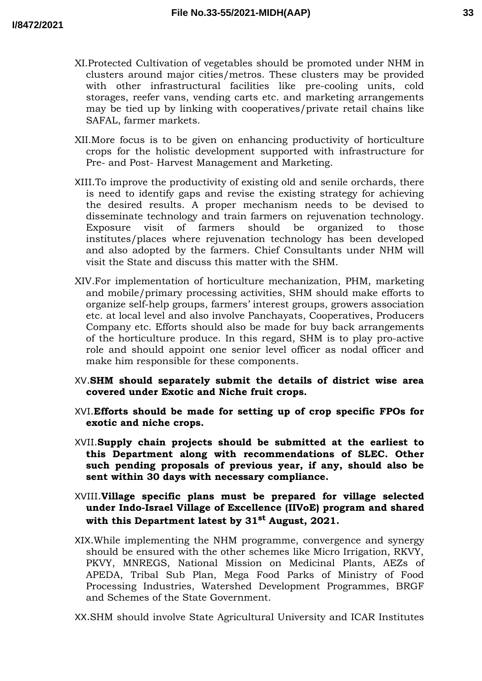- XI.Protected Cultivation of vegetables should be promoted under NHM in clusters around major cities/metros. These clusters may be provided with other infrastructural facilities like pre-cooling units, cold storages, reefer vans, vending carts etc. and marketing arrangements may be tied up by linking with cooperatives/private retail chains like SAFAL, farmer markets.
- XII.More focus is to be given on enhancing productivity of horticulture crops for the holistic development supported with infrastructure for Pre- and Post- Harvest Management and Marketing.
- XIII.To improve the productivity of existing old and senile orchards, there is need to identify gaps and revise the existing strategy for achieving the desired results. A proper mechanism needs to be devised to disseminate technology and train farmers on rejuvenation technology. Exposure visit of farmers should be organized to those institutes/places where rejuvenation technology has been developed and also adopted by the farmers. Chief Consultants under NHM will visit the State and discuss this matter with the SHM.
- XIV.For implementation of horticulture mechanization, PHM, marketing and mobile/primary processing activities, SHM should make efforts to organize self-help groups, farmers' interest groups, growers association etc. at local level and also involve Panchayats, Cooperatives, Producers Company etc. Efforts should also be made for buy back arrangements of the horticulture produce. In this regard, SHM is to play pro-active role and should appoint one senior level officer as nodal officer and make him responsible for these components.
- XV.**SHM should separately submit the details of district wise area covered under Exotic and Niche fruit crops.**
- XVI.**Efforts should be made for setting up of crop specific FPOs for exotic and niche crops.**
- XVII.**Supply chain projects should be submitted at the earliest to this Department along with recommendations of SLEC. Other such pending proposals of previous year, if any, should also be sent within 30 days with necessary compliance.**
- XVIII.**Village specific plans must be prepared for village selected under Indo-Israel Village of Excellence (IIVoE) program and shared with this Department latest by 31st August, 2021.**
- XIX.While implementing the NHM programme, convergence and synergy should be ensured with the other schemes like Micro Irrigation, RKVY, PKVY, MNREGS, National Mission on Medicinal Plants, AEZs of APEDA, Tribal Sub Plan, Mega Food Parks of Ministry of Food Processing Industries, Watershed Development Programmes, BRGF and Schemes of the State Government.

XX.SHM should involve State Agricultural University and ICAR Institutes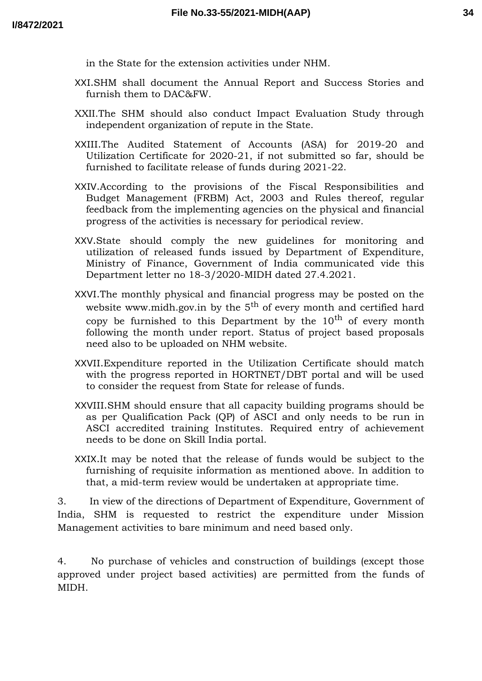in the State for the extension activities under NHM.

- XXI.SHM shall document the Annual Report and Success Stories and furnish them to DAC&FW.
- XXII.The SHM should also conduct Impact Evaluation Study through independent organization of repute in the State.
- XXIII.The Audited Statement of Accounts (ASA) for 2019-20 and Utilization Certificate for 2020-21, if not submitted so far, should be furnished to facilitate release of funds during 2021-22.
- XXIV.According to the provisions of the Fiscal Responsibilities and Budget Management (FRBM) Act, 2003 and Rules thereof, regular feedback from the implementing agencies on the physical and financial progress of the activities is necessary for periodical review.
- XXV.State should comply the new guidelines for monitoring and utilization of released funds issued by Department of Expenditure, Ministry of Finance, Government of India communicated vide this Department letter no 18-3/2020-MIDH dated 27.4.2021.
- XXVI.The monthly physical and financial progress may be posted on the website www.midh.gov.in by the  $5<sup>th</sup>$  of every month and certified hard copy be furnished to this Department by the  $10<sup>th</sup>$  of every month following the month under report. Status of project based proposals need also to be uploaded on NHM website.
- XXVII.Expenditure reported in the Utilization Certificate should match with the progress reported in HORTNET/DBT portal and will be used to consider the request from State for release of funds.
- XXVIII.SHM should ensure that all capacity building programs should be as per Qualification Pack (QP) of ASCI and only needs to be run in ASCI accredited training Institutes. Required entry of achievement needs to be done on Skill India portal.
- XXIX.It may be noted that the release of funds would be subject to the furnishing of requisite information as mentioned above. In addition to that, a mid-term review would be undertaken at appropriate time.

3. In view of the directions of Department of Expenditure, Government of India, SHM is requested to restrict the expenditure under Mission Management activities to bare minimum and need based only.

4. No purchase of vehicles and construction of buildings (except those approved under project based activities) are permitted from the funds of MIDH.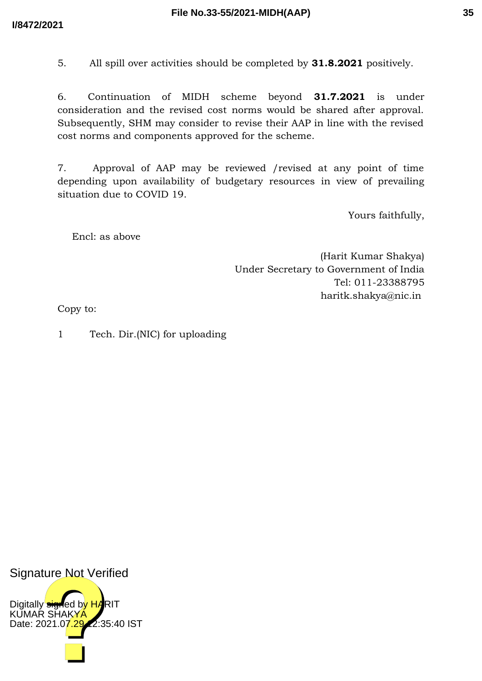5. All spill over activities should be completed by **31.8.2021** positively.

6. Continuation of MIDH scheme beyond **31.7.2021** is under consideration and the revised cost norms would be shared after approval. Subsequently, SHM may consider to revise their AAP in line with the revised cost norms and components approved for the scheme.

7. Approval of AAP may be reviewed /revised at any point of time depending upon availability of budgetary resources in view of prevailing situation due to COVID 19.

Yours faithfully,

Encl: as above

(Harit Kumar Shakya) Under Secretary to Government of India Tel: 011-23388795 haritk.shakya@nic.in

Copy to:

1 Tech. Dir.(NIC) for uploading

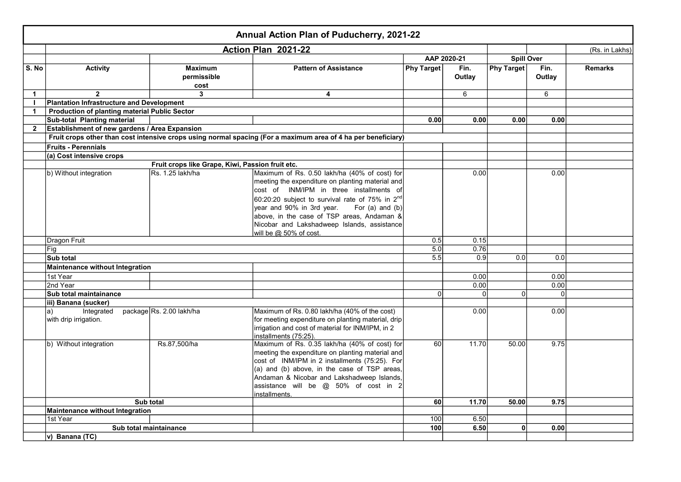|                |                                                      |                                                  | Annual Action Plan of Puducherry, 2021-22                                                                                                                                                                                                                                                                   |                   |                |                   |                |                |
|----------------|------------------------------------------------------|--------------------------------------------------|-------------------------------------------------------------------------------------------------------------------------------------------------------------------------------------------------------------------------------------------------------------------------------------------------------------|-------------------|----------------|-------------------|----------------|----------------|
|                |                                                      |                                                  | Action Plan 2021-22                                                                                                                                                                                                                                                                                         |                   |                |                   |                | (Rs. in Lakhs) |
|                |                                                      |                                                  |                                                                                                                                                                                                                                                                                                             | AAP 2020-21       |                | <b>Spill Over</b> |                |                |
| S. No          | <b>Activity</b>                                      | <b>Maximum</b><br>permissible<br>cost            | <b>Pattern of Assistance</b>                                                                                                                                                                                                                                                                                | <b>Phy Target</b> | Fin.<br>Outlay | <b>Phy Target</b> | Fin.<br>Outlay | <b>Remarks</b> |
| $\mathbf{1}$   | $\overline{2}$                                       | 3                                                | $\overline{\mathbf{4}}$                                                                                                                                                                                                                                                                                     |                   | 6              |                   | 6              |                |
| $\mathbf{I}$   | Plantation Infrastructure and Development            |                                                  |                                                                                                                                                                                                                                                                                                             |                   |                |                   |                |                |
| $\mathbf{1}$   | <b>Production of planting material Public Sector</b> |                                                  |                                                                                                                                                                                                                                                                                                             |                   |                |                   |                |                |
|                | Sub-total Planting material                          |                                                  |                                                                                                                                                                                                                                                                                                             | 0.00              | 0.00           | 0.00              | 0.00           |                |
| $\overline{2}$ | Establishment of new gardens / Area Expansion        |                                                  |                                                                                                                                                                                                                                                                                                             |                   |                |                   |                |                |
|                |                                                      |                                                  | Fruit crops other than cost intensive crops using normal spacing (For a maximum area of 4 ha per beneficiary)                                                                                                                                                                                               |                   |                |                   |                |                |
|                | <b>Fruits - Perennials</b>                           |                                                  |                                                                                                                                                                                                                                                                                                             |                   |                |                   |                |                |
|                | (a) Cost intensive crops                             |                                                  |                                                                                                                                                                                                                                                                                                             |                   |                |                   |                |                |
|                |                                                      | Fruit crops like Grape, Kiwi, Passion fruit etc. |                                                                                                                                                                                                                                                                                                             |                   |                |                   |                |                |
|                | b) Without integration                               | Rs. 1.25 lakh/ha                                 | Maximum of Rs. 0.50 lakh/ha (40% of cost) for<br>meeting the expenditure on planting material and<br>cost of INM/IPM in three installments of<br>60:20:20 subject to survival rate of 75% in 2nd                                                                                                            |                   | 0.00           |                   | 0.00           |                |
|                |                                                      |                                                  | year and 90% in 3rd year. For (a) and (b)<br>above, in the case of TSP areas, Andaman &<br>Nicobar and Lakshadweep Islands, assistance<br>will be @ 50% of cost.                                                                                                                                            |                   |                |                   |                |                |
|                | Dragon Fruit                                         |                                                  |                                                                                                                                                                                                                                                                                                             | 0.5               | 0.15           |                   |                |                |
|                | Fig                                                  |                                                  |                                                                                                                                                                                                                                                                                                             | 5.0               | 0.76           |                   |                |                |
|                | Sub total                                            |                                                  |                                                                                                                                                                                                                                                                                                             | 5.5               | 0.9            | 0.0 <sub>l</sub>  | 0.0            |                |
|                | Maintenance without Integration                      |                                                  |                                                                                                                                                                                                                                                                                                             |                   |                |                   |                |                |
|                | 1st Year                                             |                                                  |                                                                                                                                                                                                                                                                                                             |                   | 0.00           |                   | 0.00           |                |
|                | 2nd Year                                             |                                                  |                                                                                                                                                                                                                                                                                                             |                   | 0.00           |                   | 0.00           |                |
|                | Sub total maintainance                               |                                                  |                                                                                                                                                                                                                                                                                                             | $\Omega$          | $\Omega$       | $\Omega$          | $\Omega$       |                |
|                | iii) Banana (sucker)                                 |                                                  |                                                                                                                                                                                                                                                                                                             |                   |                |                   |                |                |
|                | Integrated<br>la)<br>with drip irrigation.           | package Rs. 2.00 lakh/ha                         | Maximum of Rs. 0.80 lakh/ha (40% of the cost)<br>for meeting expenditure on planting material, drip<br>irrigation and cost of material for INM/IPM, in 2<br>installments (75:25).                                                                                                                           |                   | 0.00           |                   | 0.00           |                |
|                | b) Without integration                               | Rs.87,500/ha                                     | Maximum of Rs. 0.35 lakh/ha (40% of cost) for<br>meeting the expenditure on planting material and<br>cost of INM/IPM in 2 installments (75:25). For<br>(a) and (b) above, in the case of TSP areas,<br>Andaman & Nicobar and Lakshadweep Islands,<br>assistance will be @ 50% of cost in 2<br>installments. | 60                | 11.70          | 50.00             | 9.75           |                |
|                |                                                      | Sub total                                        |                                                                                                                                                                                                                                                                                                             | 60                | 11.70          | 50.00             | 9.75           |                |
|                | Maintenance without Integration                      |                                                  |                                                                                                                                                                                                                                                                                                             |                   |                |                   |                |                |
|                | 1st Year                                             |                                                  |                                                                                                                                                                                                                                                                                                             | 100               | 6.50           |                   |                |                |
|                |                                                      | Sub total maintainance                           |                                                                                                                                                                                                                                                                                                             | 100               | 6.50           | 0                 | 0.00           |                |
|                | v) Banana (TC)                                       |                                                  |                                                                                                                                                                                                                                                                                                             |                   |                |                   |                |                |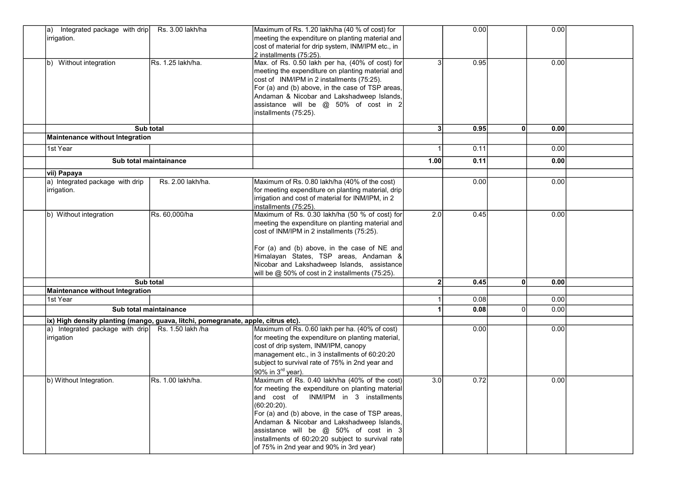| Integrated package with drip<br>Rs. 3.00 lakh/ha<br>la)                           | Maximum of Rs. 1.20 lakh/ha (40 % of cost) for     |                | 0.00 |    | 0.00 |  |
|-----------------------------------------------------------------------------------|----------------------------------------------------|----------------|------|----|------|--|
| irrigation.                                                                       | meeting the expenditure on planting material and   |                |      |    |      |  |
|                                                                                   | cost of material for drip system, INM/IPM etc., in |                |      |    |      |  |
|                                                                                   | 2 installments (75:25).                            |                |      |    |      |  |
| Rs. 1.25 lakh/ha.<br>b) Without integration                                       | Max. of Rs. 0.50 lakh per ha, (40% of cost) for    | 3              | 0.95 |    | 0.00 |  |
|                                                                                   | meeting the expenditure on planting material and   |                |      |    |      |  |
|                                                                                   | cost of INM/IPM in 2 installments (75:25).         |                |      |    |      |  |
|                                                                                   | For (a) and (b) above, in the case of TSP areas,   |                |      |    |      |  |
|                                                                                   | Andaman & Nicobar and Lakshadweep Islands,         |                |      |    |      |  |
|                                                                                   | assistance will be $@$ 50% of cost in 2            |                |      |    |      |  |
|                                                                                   | installments (75:25).                              |                |      |    |      |  |
|                                                                                   |                                                    |                |      |    |      |  |
| Sub total                                                                         |                                                    | 3              | 0.95 | 0  | 0.00 |  |
| Maintenance without Integration                                                   |                                                    |                |      |    |      |  |
| 1st Year                                                                          |                                                    |                | 0.11 |    | 0.00 |  |
| Sub total maintainance                                                            |                                                    | 1.00           | 0.11 |    | 0.00 |  |
| vii) Papaya                                                                       |                                                    |                |      |    |      |  |
| a) Integrated package with drip<br>Rs. 2.00 lakh/ha.                              | Maximum of Rs. 0.80 lakh/ha (40% of the cost)      |                | 0.00 |    | 0.00 |  |
| irrigation.                                                                       | for meeting expenditure on planting material, drip |                |      |    |      |  |
|                                                                                   | irrigation and cost of material for INM/IPM, in 2  |                |      |    |      |  |
|                                                                                   | installments (75:25).                              |                |      |    |      |  |
| Rs. 60,000/ha<br>b) Without integration                                           | Maximum of Rs. 0.30 lakh/ha (50 % of cost) for     | 2.0            | 0.45 |    | 0.00 |  |
|                                                                                   | meeting the expenditure on planting material and   |                |      |    |      |  |
|                                                                                   | cost of INM/IPM in 2 installments (75:25).         |                |      |    |      |  |
|                                                                                   |                                                    |                |      |    |      |  |
|                                                                                   | For (a) and (b) above, in the case of NE and       |                |      |    |      |  |
|                                                                                   | Himalayan States, TSP areas, Andaman &             |                |      |    |      |  |
|                                                                                   | Nicobar and Lakshadweep Islands, assistance        |                |      |    |      |  |
|                                                                                   | will be @ 50% of cost in 2 installments (75:25).   |                |      |    |      |  |
| Sub total                                                                         |                                                    | 2 <sup>1</sup> | 0.45 | 0  | 0.00 |  |
| Maintenance without Integration                                                   |                                                    |                |      |    |      |  |
| 1st Year                                                                          |                                                    |                | 0.08 |    | 0.00 |  |
| Sub total maintainance                                                            |                                                    |                | 0.08 | ΩI | 0.00 |  |
| ix) High density planting (mango, guava, litchi, pomegranate, apple, citrus etc). |                                                    |                |      |    |      |  |
| a) Integrated package with drip<br>Rs. 1.50 lakh /ha                              | Maximum of Rs. 0.60 lakh per ha. (40% of cost)     |                | 0.00 |    | 0.00 |  |
| <i>irrigation</i>                                                                 | for meeting the expenditure on planting material,  |                |      |    |      |  |
|                                                                                   | cost of drip system, INM/IPM, canopy               |                |      |    |      |  |
|                                                                                   | management etc., in 3 installments of 60:20:20     |                |      |    |      |  |
|                                                                                   | subject to survival rate of 75% in 2nd year and    |                |      |    |      |  |
|                                                                                   | 90% in 3 <sup>rd</sup> year).                      |                |      |    |      |  |
| Rs. 1.00 lakh/ha.<br>b) Without Integration.                                      | Maximum of Rs. 0.40 lakh/ha (40% of the cost)      | 3.0            | 0.72 |    | 0.00 |  |
|                                                                                   | for meeting the expenditure on planting material   |                |      |    |      |  |
|                                                                                   | and cost of INM/IPM in 3 installments              |                |      |    |      |  |
|                                                                                   | $(60:20:20)$ .                                     |                |      |    |      |  |
|                                                                                   | For (a) and (b) above, in the case of TSP areas,   |                |      |    |      |  |
|                                                                                   | Andaman & Nicobar and Lakshadweep Islands,         |                |      |    |      |  |
|                                                                                   | assistance will be $@$ 50% of cost in 3            |                |      |    |      |  |
|                                                                                   | installments of 60:20:20 subject to survival rate  |                |      |    |      |  |
|                                                                                   | of 75% in 2nd year and 90% in 3rd year)            |                |      |    |      |  |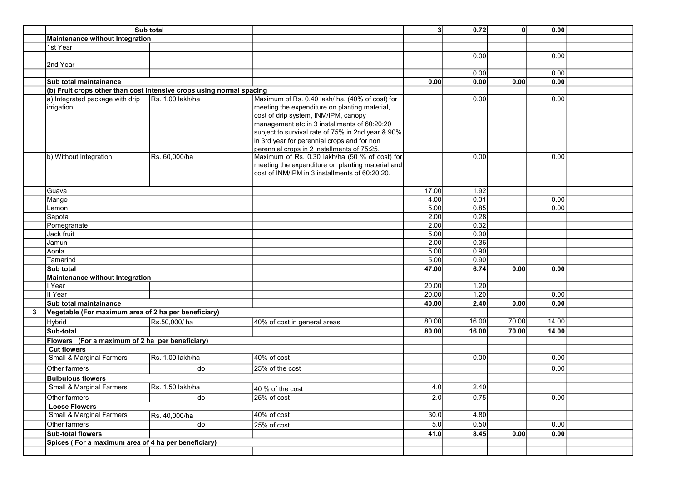|   | Sub total                                                            |                  |                                                                                                                                                                                                                                                                                                                                             | 3 <sup>1</sup> | 0.72         | $\mathbf{0}$ | 0.00  |  |
|---|----------------------------------------------------------------------|------------------|---------------------------------------------------------------------------------------------------------------------------------------------------------------------------------------------------------------------------------------------------------------------------------------------------------------------------------------------|----------------|--------------|--------------|-------|--|
|   | <b>Maintenance without Integration</b>                               |                  |                                                                                                                                                                                                                                                                                                                                             |                |              |              |       |  |
|   | 1st Year                                                             |                  |                                                                                                                                                                                                                                                                                                                                             |                |              |              |       |  |
|   |                                                                      |                  |                                                                                                                                                                                                                                                                                                                                             |                | 0.00         |              | 0.00  |  |
|   | 2nd Year                                                             |                  |                                                                                                                                                                                                                                                                                                                                             |                |              |              |       |  |
|   |                                                                      |                  |                                                                                                                                                                                                                                                                                                                                             |                | 0.00         |              | 0.00  |  |
|   | Sub total maintainance                                               |                  |                                                                                                                                                                                                                                                                                                                                             | 0.00           | 0.00         | 0.00         | 0.00  |  |
|   | (b) Fruit crops other than cost intensive crops using normal spacing |                  |                                                                                                                                                                                                                                                                                                                                             |                |              |              |       |  |
|   | a) Integrated package with drip<br>irrigation                        | Rs. 1.00 lakh/ha | Maximum of Rs. 0.40 lakh/ ha. (40% of cost) for<br>meeting the expenditure on planting material,<br>cost of drip system, INM/IPM, canopy<br>management etc in 3 installments of 60:20:20<br>subject to survival rate of 75% in 2nd year & 90%<br>in 3rd year for perennial crops and for non<br>perennial crops in 2 installments of 75:25. |                | 0.00         |              | 0.00  |  |
|   | b) Without Integration                                               | Rs. 60,000/ha    | Maximum of Rs. 0.30 lakh/ha (50 % of cost) for<br>meeting the expenditure on planting material and<br>cost of INM/IPM in 3 installments of 60:20:20.                                                                                                                                                                                        |                | 0.00         |              | 0.00  |  |
|   | Guava                                                                |                  |                                                                                                                                                                                                                                                                                                                                             | 17.00          | 1.92         |              |       |  |
|   | Mango                                                                |                  |                                                                                                                                                                                                                                                                                                                                             | 4.00           | 0.31         |              | 0.00  |  |
|   | _emon                                                                |                  |                                                                                                                                                                                                                                                                                                                                             | 5.00           | 0.85         |              | 0.00  |  |
|   | Sapota                                                               |                  |                                                                                                                                                                                                                                                                                                                                             | 2.00           | 0.28         |              |       |  |
|   | Pomegranate                                                          |                  |                                                                                                                                                                                                                                                                                                                                             | 2.00           | 0.32         |              |       |  |
|   | Jack fruit                                                           |                  |                                                                                                                                                                                                                                                                                                                                             | 5.00           | 0.90         |              |       |  |
|   | Jamun                                                                |                  |                                                                                                                                                                                                                                                                                                                                             | 2.00           | 0.36         |              |       |  |
|   | Aonla                                                                |                  |                                                                                                                                                                                                                                                                                                                                             | 5.00           | 0.90         |              |       |  |
|   | Tamarind                                                             |                  |                                                                                                                                                                                                                                                                                                                                             | 5.00           | 0.90<br>6.74 |              | 0.00  |  |
|   | Sub total                                                            |                  |                                                                                                                                                                                                                                                                                                                                             | 47.00          |              | 0.00         |       |  |
|   | <b>Maintenance without Integration</b><br>l Year                     |                  |                                                                                                                                                                                                                                                                                                                                             | 20.00          | 1.20         |              |       |  |
|   | II Year                                                              |                  |                                                                                                                                                                                                                                                                                                                                             | 20.00          | 1.20         |              | 0.00  |  |
|   | Sub total maintainance                                               |                  |                                                                                                                                                                                                                                                                                                                                             | 40.00          | 2.40         | 0.00         | 0.00  |  |
| 3 | Vegetable (For maximum area of 2 ha per beneficiary)                 |                  |                                                                                                                                                                                                                                                                                                                                             |                |              |              |       |  |
|   | Hybrid                                                               | Rs.50,000/ha     | 40% of cost in general areas                                                                                                                                                                                                                                                                                                                | 80.00          | 16.00        | 70.00        | 14.00 |  |
|   | Sub-total                                                            |                  |                                                                                                                                                                                                                                                                                                                                             | 80.00          | 16.00        | 70.00        | 14.00 |  |
|   | Flowers (For a maximum of 2 ha per beneficiary)                      |                  |                                                                                                                                                                                                                                                                                                                                             |                |              |              |       |  |
|   | <b>Cut flowers</b>                                                   |                  |                                                                                                                                                                                                                                                                                                                                             |                |              |              |       |  |
|   | <b>Small &amp; Marginal Farmers</b>                                  | Rs. 1.00 lakh/ha | 40% of cost                                                                                                                                                                                                                                                                                                                                 |                | 0.00         |              | 0.00  |  |
|   | Other farmers                                                        | do               | 25% of the cost                                                                                                                                                                                                                                                                                                                             |                |              |              | 0.00  |  |
|   | <b>Bulbulous flowers</b>                                             |                  |                                                                                                                                                                                                                                                                                                                                             |                |              |              |       |  |
|   | Small & Marginal Farmers                                             | Rs. 1.50 lakh/ha | 40 % of the cost                                                                                                                                                                                                                                                                                                                            | 4.0            | 2.40         |              |       |  |
|   | Other farmers                                                        | do               | 25% of cost                                                                                                                                                                                                                                                                                                                                 | 2.0            | 0.75         |              | 0.00  |  |
|   | <b>Loose Flowers</b>                                                 |                  |                                                                                                                                                                                                                                                                                                                                             |                |              |              |       |  |
|   | <b>Small &amp; Marginal Farmers</b>                                  | Rs. 40,000/ha    | 40% of cost                                                                                                                                                                                                                                                                                                                                 | 30.0           | 4.80         |              |       |  |
|   | Other farmers                                                        | do               | 25% of cost                                                                                                                                                                                                                                                                                                                                 | 5.0            | 0.50         |              | 0.00  |  |
|   | <b>Sub-total flowers</b>                                             |                  |                                                                                                                                                                                                                                                                                                                                             | 41.0           | 8.45         | 0.00         | 0.00  |  |
|   | Spices (For a maximum area of 4 ha per beneficiary)                  |                  |                                                                                                                                                                                                                                                                                                                                             |                |              |              |       |  |
|   |                                                                      |                  |                                                                                                                                                                                                                                                                                                                                             |                |              |              |       |  |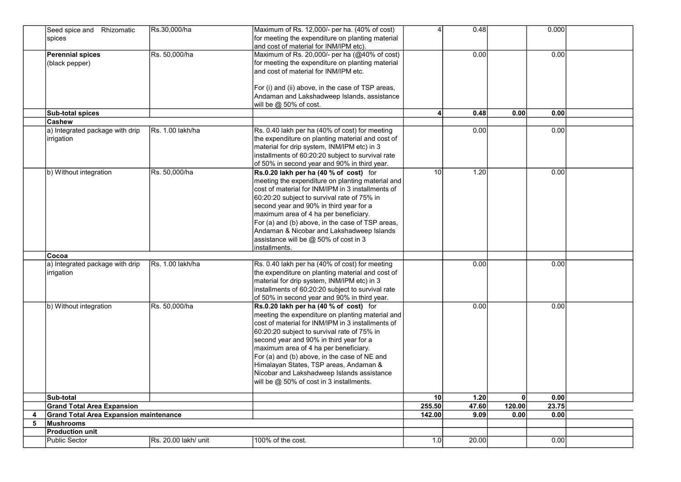|   | Seed spice and Rhizomatic<br>spices                  | Rs.30,000/ha         | Maximum of Rs. 12,000/- per ha. (40% of cost)<br>for meeting the expenditure on planting material                                                                                                                                                                                                                                                                                                                                                                        | 4              | 0.48  |              | 0.000 |  |
|---|------------------------------------------------------|----------------------|--------------------------------------------------------------------------------------------------------------------------------------------------------------------------------------------------------------------------------------------------------------------------------------------------------------------------------------------------------------------------------------------------------------------------------------------------------------------------|----------------|-------|--------------|-------|--|
|   |                                                      |                      | and cost of material for INM/IPM etc).                                                                                                                                                                                                                                                                                                                                                                                                                                   |                |       |              |       |  |
|   | <b>Perennial spices</b><br>(black pepper)            | Rs. 50,000/ha        | Maximum of Rs. 20,000/- per ha (@40% of cost)<br>for meeting the expenditure on planting material<br>and cost of material for INM/IPM etc.<br>For (i) and (ii) above, in the case of TSP areas,<br>Andaman and Lakshadweep Islands, assistance                                                                                                                                                                                                                           |                | 0.00  |              | 0.00  |  |
|   | Sub-total spices                                     |                      | will be $@$ 50% of cost.                                                                                                                                                                                                                                                                                                                                                                                                                                                 | $\overline{4}$ | 0.48  | 0.00         | 0.00  |  |
|   | Cashew                                               |                      |                                                                                                                                                                                                                                                                                                                                                                                                                                                                          |                |       |              |       |  |
|   | a) Integrated package with drip<br>irrigation        | Rs. 1.00 lakh/ha     | Rs. 0.40 lakh per ha (40% of cost) for meeting<br>the expenditure on planting material and cost of<br>material for drip system, INM/IPM etc) in 3<br>installments of 60:20:20 subject to survival rate<br>of 50% in second year and 90% in third year.                                                                                                                                                                                                                   |                | 0.00  |              | 0.00  |  |
|   | b) Without integration                               | Rs. 50,000/ha        | Rs.0.20 lakh per ha (40 % of cost) for<br>meeting the expenditure on planting material and<br>cost of material for INM/IPM in 3 installments of<br>60:20:20 subject to survival rate of 75% in<br>second year and 90% in third year for a<br>maximum area of 4 ha per beneficiary.<br>For (a) and (b) above, in the case of TSP areas,<br>Andaman & Nicobar and Lakshadweep Islands<br>assistance will be @ 50% of cost in 3<br>installments.                            | 10             | 1.20  |              | 0.00  |  |
|   | Cocoa                                                |                      |                                                                                                                                                                                                                                                                                                                                                                                                                                                                          |                |       |              |       |  |
|   | a) Integrated package with drip<br><i>irrigation</i> | Rs. 1.00 lakh/ha     | Rs. 0.40 lakh per ha (40% of cost) for meeting<br>the expenditure on planting material and cost of<br>material for drip system, INM/IPM etc) in 3<br>installments of 60:20:20 subject to survival rate<br>of 50% in second year and 90% in third year.                                                                                                                                                                                                                   |                | 0.00  |              | 0.00  |  |
|   | b) Without integration                               | Rs. 50,000/ha        | Rs.0.20 lakh per ha (40 % of cost) for<br>meeting the expenditure on planting material and<br>cost of material for INM/IPM in 3 installments of<br>60:20:20 subject to survival rate of 75% in<br>second year and 90% in third year for a<br>maximum area of 4 ha per beneficiary.<br>For (a) and (b) above, in the case of NE and<br>Himalayan States, TSP areas, Andaman &<br>Nicobar and Lakshadweep Islands assistance<br>will be $@$ 50% of cost in 3 installments. |                | 0.00  |              | 0.00  |  |
|   | Sub-total                                            |                      |                                                                                                                                                                                                                                                                                                                                                                                                                                                                          | 10             | 1.20  | $\mathbf{0}$ | 0.00  |  |
|   | <b>Grand Total Area Expansion</b>                    |                      |                                                                                                                                                                                                                                                                                                                                                                                                                                                                          | 255.50         | 47.60 | 120.00       | 23.75 |  |
| 4 | <b>Grand Total Area Expansion maintenance</b>        |                      |                                                                                                                                                                                                                                                                                                                                                                                                                                                                          | 142.00         | 9.09  | 0.00         | 0.00  |  |
| 5 | Mushrooms                                            |                      |                                                                                                                                                                                                                                                                                                                                                                                                                                                                          |                |       |              |       |  |
|   | <b>Production unit</b>                               |                      |                                                                                                                                                                                                                                                                                                                                                                                                                                                                          |                |       |              |       |  |
|   | <b>Public Sector</b>                                 | Rs. 20.00 lakh/ unit | 100% of the cost.                                                                                                                                                                                                                                                                                                                                                                                                                                                        | 1.0            | 20.00 |              | 0.00  |  |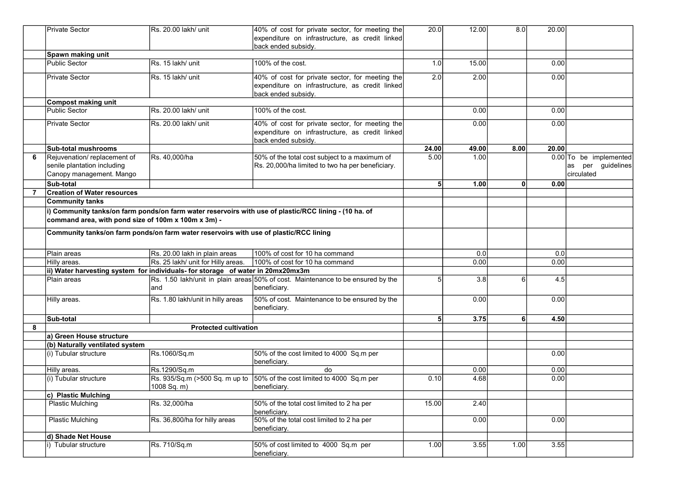|   | <b>Private Sector</b>                                                                                                                                        | Rs. 20.00 lakh/ unit                                                            | 40% of cost for private sector, for meeting the<br>expenditure on infrastructure, as credit linked<br>back ended subsidy. | 20.0           | 12.00 | 8.0 <sub>1</sub> | 20.00 |                                                           |
|---|--------------------------------------------------------------------------------------------------------------------------------------------------------------|---------------------------------------------------------------------------------|---------------------------------------------------------------------------------------------------------------------------|----------------|-------|------------------|-------|-----------------------------------------------------------|
|   | Spawn making unit                                                                                                                                            |                                                                                 |                                                                                                                           |                |       |                  |       |                                                           |
|   | <b>Public Sector</b>                                                                                                                                         | Rs. 15 lakh/ unit                                                               | 100% of the cost.                                                                                                         | 1.0            | 15.00 |                  | 0.00  |                                                           |
|   | <b>Private Sector</b>                                                                                                                                        | Rs. 15 lakh/ unit                                                               | 40% of cost for private sector, for meeting the<br>expenditure on infrastructure, as credit linked<br>back ended subsidy. | 2.0            | 2.00  |                  | 0.00  |                                                           |
|   | <b>Compost making unit</b>                                                                                                                                   |                                                                                 |                                                                                                                           |                |       |                  |       |                                                           |
|   | <b>Public Sector</b>                                                                                                                                         | Rs. 20.00 lakh/ unit                                                            | 100% of the cost.                                                                                                         |                | 0.00  |                  | 0.00  |                                                           |
|   | <b>Private Sector</b>                                                                                                                                        | Rs. 20.00 lakh/ unit                                                            | 40% of cost for private sector, for meeting the<br>expenditure on infrastructure, as credit linked<br>back ended subsidy. |                | 0.00  |                  | 0.00  |                                                           |
|   | <b>Sub-total mushrooms</b>                                                                                                                                   |                                                                                 |                                                                                                                           | 24.00          | 49.00 | 8.00             | 20.00 |                                                           |
| 6 | Rejuvenation/replacement of<br>senile plantation including<br>Canopy management. Mango                                                                       | Rs. 40,000/ha                                                                   | 50% of the total cost subject to a maximum of<br>Rs. 20,000/ha limited to two ha per beneficiary.                         | 5.00           | 1.00  |                  |       | 0.00 To be implemented<br>as per guidelines<br>circulated |
|   | Sub-total                                                                                                                                                    |                                                                                 |                                                                                                                           | 5              | 1.00  | 0                | 0.00  |                                                           |
| 7 | <b>Creation of Water resources</b>                                                                                                                           |                                                                                 |                                                                                                                           |                |       |                  |       |                                                           |
|   | <b>Community tanks</b>                                                                                                                                       |                                                                                 |                                                                                                                           |                |       |                  |       |                                                           |
|   | i) Community tanks/on farm ponds/on farm water reservoirs with use of plastic/RCC lining - (10 ha. of<br>command area, with pond size of 100m x 100m x 3m) - |                                                                                 |                                                                                                                           |                |       |                  |       |                                                           |
|   | Community tanks/on farm ponds/on farm water reservoirs with use of plastic/RCC lining                                                                        |                                                                                 |                                                                                                                           |                |       |                  |       |                                                           |
|   | Plain areas                                                                                                                                                  | Rs. 20.00 lakh in plain areas                                                   | 100% of cost for 10 ha command                                                                                            |                | 0.0   |                  | 0.0   |                                                           |
|   | Hilly areas.                                                                                                                                                 | Rs. 25 lakh/ unit for Hilly areas.                                              | 100% of cost for 10 ha command                                                                                            |                | 0.00  |                  | 0.00  |                                                           |
|   |                                                                                                                                                              | ii) Water harvesting system for individuals- for storage of water in 20mx20mx3m |                                                                                                                           |                |       |                  |       |                                                           |
|   | Plain areas                                                                                                                                                  | and                                                                             | Rs. 1.50 lakh/unit in plain areas 50% of cost. Maintenance to be ensured by the<br>beneficiary.                           | 5              | 3.8   | 6                | 4.5   |                                                           |
|   | Hilly areas.                                                                                                                                                 | Rs. 1.80 lakh/unit in hilly areas                                               | 50% of cost. Maintenance to be ensured by the<br>beneficiary.                                                             |                | 0.00  |                  | 0.00  |                                                           |
|   | Sub-total                                                                                                                                                    |                                                                                 |                                                                                                                           | 5 <sup>1</sup> | 3.75  | 61               | 4.50  |                                                           |
| 8 |                                                                                                                                                              | <b>Protected cultivation</b>                                                    |                                                                                                                           |                |       |                  |       |                                                           |
|   | a) Green House structure                                                                                                                                     |                                                                                 |                                                                                                                           |                |       |                  |       |                                                           |
|   | (b) Naturally ventilated system                                                                                                                              |                                                                                 |                                                                                                                           |                |       |                  |       |                                                           |
|   | (i) Tubular structure                                                                                                                                        | Rs.1060/Sq.m                                                                    | 50% of the cost limited to 4000 Sq.m per<br>beneficiary.                                                                  |                |       |                  | 0.00  |                                                           |
|   | Hilly areas.                                                                                                                                                 | Rs.1290/Sq.m                                                                    | do                                                                                                                        |                | 0.00  |                  | 0.00  |                                                           |
|   | (i) Tubular structure                                                                                                                                        | Rs. 935/Sq.m (>500 Sq. m up to<br>1008 Sq. m)                                   | 50% of the cost limited to 4000 Sq.m per<br>beneficiary.                                                                  | 0.10           | 4.68  |                  | 0.00  |                                                           |
|   | c) Plastic Mulching                                                                                                                                          |                                                                                 |                                                                                                                           |                |       |                  |       |                                                           |
|   | <b>Plastic Mulching</b>                                                                                                                                      | Rs. 32,000/ha                                                                   | 50% of the total cost limited to 2 ha per<br>beneficiary.                                                                 | 15.00          | 2.40  |                  |       |                                                           |
|   | Plastic Mulching                                                                                                                                             | Rs. 36,800/ha for hilly areas                                                   | 50% of the total cost limited to 2 ha per<br>beneficiary.                                                                 |                | 0.00  |                  | 0.00  |                                                           |
|   | d) Shade Net House                                                                                                                                           |                                                                                 |                                                                                                                           |                |       |                  |       |                                                           |
|   | i) Tubular structure                                                                                                                                         | Rs. 710/Sq.m                                                                    | 50% of cost limited to 4000 Sq.m per<br>beneficiary.                                                                      | 1.00           | 3.55  | 1.00             | 3.55  |                                                           |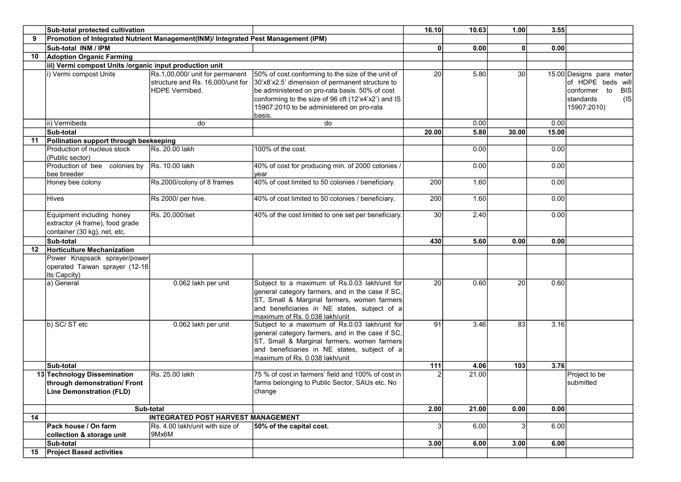|    | Sub-total protected cultivation                                                                |                                                                                               |                                                                                                                                                                                                                                                                      |       | 10.63 | 1.00         | 3.55  |                                                                                                                 |
|----|------------------------------------------------------------------------------------------------|-----------------------------------------------------------------------------------------------|----------------------------------------------------------------------------------------------------------------------------------------------------------------------------------------------------------------------------------------------------------------------|-------|-------|--------------|-------|-----------------------------------------------------------------------------------------------------------------|
| 9  | Promotion of Integrated Nutrient Management(INM)/ Integrated Pest Management (IPM)             |                                                                                               |                                                                                                                                                                                                                                                                      |       |       |              |       |                                                                                                                 |
|    | Sub-total INM / IPM                                                                            |                                                                                               |                                                                                                                                                                                                                                                                      | 0l    | 0.00  | $\mathbf{0}$ | 0.00  |                                                                                                                 |
| 10 | <b>Adoption Organic Farming</b>                                                                |                                                                                               |                                                                                                                                                                                                                                                                      |       |       |              |       |                                                                                                                 |
|    | iii) Vermi compost Units /organic input production unit                                        |                                                                                               |                                                                                                                                                                                                                                                                      |       |       |              |       |                                                                                                                 |
|    | i) Vermi compost Units                                                                         | Rs.1,00,000/ unit for permanent<br>structure and Rs. 16,000/unit for<br><b>HDPE Vermibed.</b> | 50% of cost conforming to the size of the unit of<br>30'x8'x2.5' dimension of permanent structure to<br>be administered on pro-rata basis. 50% of cost<br>conforming to the size of 96 cft (12'x4'x2') and IS<br>15907:2010 to be administered on pro-rata<br>basis. | 20    | 5.80  | 30           |       | 15.00 Designs para meter<br>of HDPE beds will<br>conformer to<br><b>BIS</b><br>(IS)<br>standards<br>15907:2010) |
|    | ii) Vermibeds                                                                                  | do                                                                                            | do                                                                                                                                                                                                                                                                   |       | 0.001 |              | 0.00  |                                                                                                                 |
|    | Sub-total                                                                                      |                                                                                               |                                                                                                                                                                                                                                                                      | 20.00 | 5.80  | 30.00        | 15.00 |                                                                                                                 |
| 11 | Pollination support through beekeeping                                                         |                                                                                               |                                                                                                                                                                                                                                                                      |       |       |              |       |                                                                                                                 |
|    | Production of nucleus stock<br>(Public sector)                                                 | Rs. 20.00 lakh                                                                                | 100% of the cost.                                                                                                                                                                                                                                                    |       | 0.00  |              | 0.00  |                                                                                                                 |
|    | Production of bee colonies by Rs. 10.00 lakh<br>bee breeder                                    |                                                                                               | 40% of cost for producing min. of 2000 colonies /<br>vear                                                                                                                                                                                                            |       | 0.00  |              | 0.00  |                                                                                                                 |
|    | Honey bee colony                                                                               | Rs.2000/colony of 8 frames                                                                    | 40% of cost limited to 50 colonies / beneficiary.                                                                                                                                                                                                                    | 200   | 1.60  |              | 0.00  |                                                                                                                 |
|    | Hives                                                                                          | Rs 2000/ per hive.                                                                            | 40% of cost limited to 50 colonies / beneficiary.                                                                                                                                                                                                                    | 200   | 1.60  |              | 0.00  |                                                                                                                 |
|    | Equipment including honey<br>extractor (4 frame), food grade<br>container (30 kg), net, etc.   | Rs. 20,000/set                                                                                | 40% of the cost limited to one set per beneficiary.                                                                                                                                                                                                                  | 30    | 2.40  |              | 0.00  |                                                                                                                 |
|    | Sub-total                                                                                      |                                                                                               |                                                                                                                                                                                                                                                                      | 430   | 5.60  | 0.00         | 0.00  |                                                                                                                 |
| 12 | <b>Horticulture Mechanization</b>                                                              |                                                                                               |                                                                                                                                                                                                                                                                      |       |       |              |       |                                                                                                                 |
|    | Power Knapsack sprayer/power<br>operated Taiwan sprayer (12-16<br>Its Capcity)                 |                                                                                               |                                                                                                                                                                                                                                                                      |       |       |              |       |                                                                                                                 |
|    | a) General                                                                                     | 0.062 lakh per unit                                                                           | Subject to a maximum of Rs.0.03 lakh/unit for<br>general category farmers, and in the case if SC,<br>ST, Small & Marginal farmers, women farmers<br>and beneficiaries in NE states, subject of a<br>maximum of Rs. 0.038 lakh/unit                                   | 20    | 0.60  | 20           | 0.60  |                                                                                                                 |
|    | b) SC/ ST etc                                                                                  | 0.062 lakh per unit                                                                           | Subject to a maximum of Rs.0.03 lakh/unit for<br>general category farmers, and in the case if SC,<br>ST, Small & Marginal farmers, women farmers<br>and beneficiaries in NE states, subject of a<br>maximum of Rs. 0.038 lakh/unit                                   | 91    | 3.46  | 83           | 3.16  |                                                                                                                 |
|    | Sub-total                                                                                      |                                                                                               |                                                                                                                                                                                                                                                                      | 111   | 4.06  | 103          | 3.76  |                                                                                                                 |
|    | 13 Technology Dissemination<br>through demonstration/ Front<br><b>Line Demonstration (FLD)</b> | Rs. 25.00 lakh                                                                                | 75 % of cost in farmers' field and 100% of cost in<br>farms belonging to Public Sector, SAUs etc. No<br>change                                                                                                                                                       |       | 21.00 |              |       | Project to be<br>submitted                                                                                      |
|    |                                                                                                | Sub-total                                                                                     |                                                                                                                                                                                                                                                                      | 2.00  | 21.00 | 0.00         | 0.00  |                                                                                                                 |
| 14 |                                                                                                | INTEGRATED POST HARVEST MANAGEMENT                                                            |                                                                                                                                                                                                                                                                      |       |       |              |       |                                                                                                                 |
|    | Pack house / On farm<br>collection & storage unit                                              | Rs. 4.00 lakh/unit with size of<br>9Mx6M                                                      | 50% of the capital cost.                                                                                                                                                                                                                                             |       | 6.00  | 3            | 6.00  |                                                                                                                 |
|    | Sub-total                                                                                      |                                                                                               |                                                                                                                                                                                                                                                                      | 3.00  | 6.00  | 3.00         | 6.00  |                                                                                                                 |
| 15 | <b>Project Based activities</b>                                                                |                                                                                               |                                                                                                                                                                                                                                                                      |       |       |              |       |                                                                                                                 |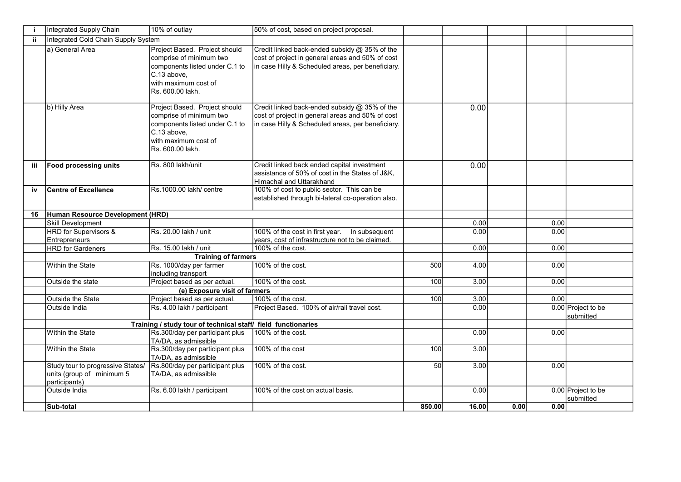|     | Integrated Supply Chain                                                         | 10% of outlay                                                                                                                                         | 50% of cost, based on project proposal.                                                                                                                |                 |       |      |      |                                 |
|-----|---------------------------------------------------------------------------------|-------------------------------------------------------------------------------------------------------------------------------------------------------|--------------------------------------------------------------------------------------------------------------------------------------------------------|-----------------|-------|------|------|---------------------------------|
| jj. | Integrated Cold Chain Supply System                                             |                                                                                                                                                       |                                                                                                                                                        |                 |       |      |      |                                 |
|     | a) General Area                                                                 | Project Based. Project should<br>comprise of minimum two<br>components listed under C.1 to<br>C.13 above,<br>with maximum cost of<br>Rs. 600.00 lakh. | Credit linked back-ended subsidy @ 35% of the<br>cost of project in general areas and 50% of cost<br>in case Hilly & Scheduled areas, per beneficiary. |                 |       |      |      |                                 |
|     | b) Hilly Area                                                                   | Project Based. Project should<br>comprise of minimum two<br>components listed under C.1 to<br>C.13 above,<br>with maximum cost of<br>Rs. 600.00 lakh. | Credit linked back-ended subsidy @ 35% of the<br>cost of project in general areas and 50% of cost<br>in case Hilly & Scheduled areas, per beneficiary. |                 | 0.00  |      |      |                                 |
| iii | <b>Food processing units</b>                                                    | Rs. 800 lakh/unit                                                                                                                                     | Credit linked back ended capital investment<br>assistance of 50% of cost in the States of J&K,<br>Himachal and Uttarakhand                             |                 | 0.00  |      |      |                                 |
| iv  | <b>Centre of Excellence</b>                                                     | Rs.1000.00 lakh/ centre                                                                                                                               | 100% of cost to public sector. This can be<br>established through bi-lateral co-operation also.                                                        |                 |       |      |      |                                 |
| 16  | Human Resource Development (HRD)                                                |                                                                                                                                                       |                                                                                                                                                        |                 |       |      |      |                                 |
|     | <b>Skill Development</b>                                                        |                                                                                                                                                       |                                                                                                                                                        |                 | 0.00  |      | 0.00 |                                 |
|     | <b>HRD</b> for Supervisors &<br>Entrepreneurs                                   | Rs. 20.00 lakh / unit                                                                                                                                 | 100% of the cost in first year.  In subsequent<br>years, cost of infrastructure not to be claimed.                                                     |                 | 0.00  |      | 0.00 |                                 |
|     | <b>HRD</b> for Gardeners                                                        | Rs. 15.00 lakh / unit                                                                                                                                 | 100% of the cost.                                                                                                                                      |                 | 0.00  |      | 0.00 |                                 |
|     |                                                                                 | <b>Training of farmers</b>                                                                                                                            |                                                                                                                                                        |                 |       |      |      |                                 |
|     | Within the State                                                                | Rs. 1000/day per farmer<br>including transport                                                                                                        | 100% of the cost.                                                                                                                                      | 500             | 4.00  |      | 0.00 |                                 |
|     | Outside the state                                                               | Project based as per actual.                                                                                                                          | 100% of the cost.                                                                                                                                      | 100             | 3.00  |      | 0.00 |                                 |
|     |                                                                                 | (e) Exposure visit of farmers                                                                                                                         |                                                                                                                                                        |                 |       |      |      |                                 |
|     | Outside the State                                                               | Project based as per actual.                                                                                                                          | 100% of the cost.                                                                                                                                      | 100             | 3.001 |      | 0.00 |                                 |
|     | Outside India                                                                   | Rs. 4.00 lakh / participant                                                                                                                           | Project Based. 100% of air/rail travel cost.                                                                                                           |                 | 0.00  |      |      | 0.00 Project to be<br>submitted |
|     |                                                                                 | Training / study tour of technical staff/ field functionaries                                                                                         |                                                                                                                                                        |                 |       |      |      |                                 |
|     | Within the State                                                                | Rs.300/day per participant plus<br>TA/DA, as admissible                                                                                               | 100% of the cost.                                                                                                                                      |                 | 0.00  |      | 0.00 |                                 |
|     | Within the State                                                                | Rs.300/day per participant plus<br>TA/DA, as admissible                                                                                               | 100% of the cost                                                                                                                                       | 100             | 3.00  |      |      |                                 |
|     | Study tour to progressive States/<br>units (group of minimum 5<br>participants) | Rs.800/day per participant plus<br>TA/DA, as admissible                                                                                               | 100% of the cost.                                                                                                                                      | $\overline{50}$ | 3.00  |      | 0.00 |                                 |
|     | Outside India                                                                   | Rs. 6.00 lakh / participant                                                                                                                           | 100% of the cost on actual basis.                                                                                                                      |                 | 0.00  |      |      | 0.00 Project to be<br>submitted |
|     | Sub-total                                                                       |                                                                                                                                                       |                                                                                                                                                        | 850.00          | 16.00 | 0.00 | 0.00 |                                 |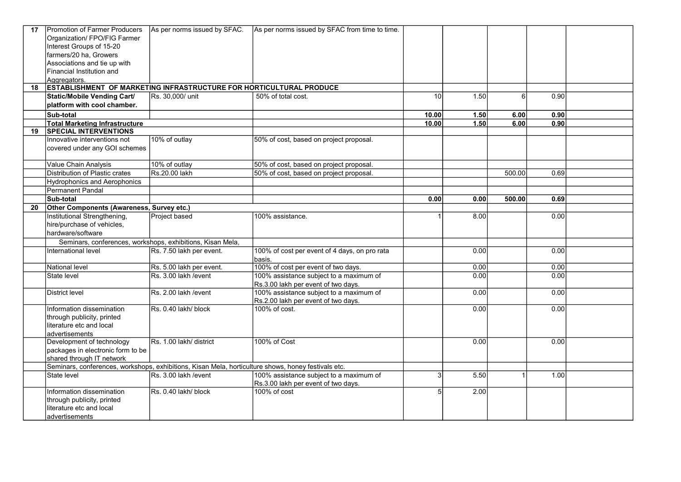| 17 | Promotion of Farmer Producers                                                                       | As per norms issued by SFAC.                               | As per norms issued by SFAC from time to time. |                 |       |        |                   |  |
|----|-----------------------------------------------------------------------------------------------------|------------------------------------------------------------|------------------------------------------------|-----------------|-------|--------|-------------------|--|
|    | Organization/ FPO/FIG Farmer                                                                        |                                                            |                                                |                 |       |        |                   |  |
|    | Interest Groups of 15-20                                                                            |                                                            |                                                |                 |       |        |                   |  |
|    | farmers/20 ha, Growers                                                                              |                                                            |                                                |                 |       |        |                   |  |
|    | Associations and tie up with                                                                        |                                                            |                                                |                 |       |        |                   |  |
|    | Financial Institution and                                                                           |                                                            |                                                |                 |       |        |                   |  |
|    | Aggregators.                                                                                        |                                                            |                                                |                 |       |        |                   |  |
| 18 | <b>ESTABLISHMENT OF MARKETING INFRASTRUCTURE FOR HORTICULTURAL PRODUCE</b>                          |                                                            |                                                |                 |       |        |                   |  |
|    | <b>Static/Mobile Vending Cart/</b>                                                                  | Rs. 30,000/ unit                                           | 50% of total cost.                             | 10 <sup>1</sup> | 1.50  | 6      | 0.90              |  |
|    | platform with cool chamber.                                                                         |                                                            |                                                |                 |       |        |                   |  |
|    | Sub-total                                                                                           |                                                            |                                                | 10.00           | 1.50  | 6.00   | 0.90              |  |
|    |                                                                                                     |                                                            |                                                |                 | 1.50  |        | 0.90              |  |
| 19 | <b>Total Marketing Infrastructure</b><br><b>SPECIAL INTERVENTIONS</b>                               |                                                            |                                                | 10.00           |       | 6.00   |                   |  |
|    |                                                                                                     |                                                            |                                                |                 |       |        |                   |  |
|    | Innovative interventions not                                                                        | 10% of outlay                                              | 50% of cost, based on project proposal.        |                 |       |        |                   |  |
|    | covered under any GOI schemes                                                                       |                                                            |                                                |                 |       |        |                   |  |
|    | Value Chain Analysis                                                                                | 10% of outlay                                              | 50% of cost, based on project proposal.        |                 |       |        |                   |  |
|    | Distribution of Plastic crates                                                                      | Rs.20.00 lakh                                              | 50% of cost, based on project proposal.        |                 |       | 500.00 | 0.69              |  |
|    |                                                                                                     |                                                            |                                                |                 |       |        |                   |  |
|    | Hydrophonics and Aerophonics                                                                        |                                                            |                                                |                 |       |        |                   |  |
|    | Permanent Pandal                                                                                    |                                                            |                                                |                 |       |        |                   |  |
|    | Sub-total                                                                                           |                                                            |                                                | 0.00            | 0.00  | 500.00 | 0.69              |  |
| 20 | Other Components (Awareness, Survey etc.)                                                           |                                                            |                                                |                 |       |        |                   |  |
|    | Institutional Strengthening,                                                                        | Project based                                              | 100% assistance.                               |                 | 8.00  |        | 0.00              |  |
|    | hire/purchase of vehicles,                                                                          |                                                            |                                                |                 |       |        |                   |  |
|    | hardware/software                                                                                   |                                                            |                                                |                 |       |        |                   |  |
|    |                                                                                                     | Seminars, conferences, workshops, exhibitions, Kisan Mela, |                                                |                 |       |        |                   |  |
|    | International level                                                                                 | Rs. 7.50 lakh per event.                                   | 100% of cost per event of 4 days, on pro rata  |                 | 0.00  |        | 0.00              |  |
|    |                                                                                                     |                                                            | basis.                                         |                 |       |        |                   |  |
|    | National level                                                                                      | Rs. 5.00 lakh per event.                                   | 100% of cost per event of two days.            |                 | 0.00  |        | 0.00              |  |
|    | State level                                                                                         | Rs. 3.00 lakh /event                                       | 100% assistance subject to a maximum of        |                 | 0.00  |        | 0.00              |  |
|    |                                                                                                     |                                                            | Rs.3.00 lakh per event of two days.            |                 |       |        |                   |  |
|    | District level                                                                                      | Rs. 2.00 lakh / event                                      | 100% assistance subject to a maximum of        |                 | 0.00  |        | 0.00              |  |
|    |                                                                                                     |                                                            | Rs.2.00 lakh per event of two days.            |                 |       |        |                   |  |
|    | Information dissemination                                                                           | Rs. 0.40 lakh/ block                                       | 100% of cost.                                  |                 | 0.001 |        | 0.001             |  |
|    | through publicity, printed                                                                          |                                                            |                                                |                 |       |        |                   |  |
|    | literature etc and local                                                                            |                                                            |                                                |                 |       |        |                   |  |
|    | advertisements                                                                                      |                                                            |                                                |                 |       |        |                   |  |
|    | Development of technology                                                                           | Rs. 1.00 lakh/ district                                    | 100% of Cost                                   |                 | 0.00  |        | 0.00              |  |
|    | packages in electronic form to be                                                                   |                                                            |                                                |                 |       |        |                   |  |
|    | shared through IT network                                                                           |                                                            |                                                |                 |       |        |                   |  |
|    | Seminars, conferences, workshops, exhibitions, Kisan Mela, horticulture shows, honey festivals etc. |                                                            |                                                |                 |       |        |                   |  |
|    | State level                                                                                         | Rs. 3.00 lakh /event                                       | 100% assistance subject to a maximum of        | 3               | 5.50  |        | 1.00 <sub>l</sub> |  |
|    |                                                                                                     |                                                            | Rs.3.00 lakh per event of two days.            |                 |       |        |                   |  |
|    | Information dissemination                                                                           | Rs. 0.40 lakh/block                                        | 100% of cost                                   | 5               | 2.00  |        |                   |  |
|    | through publicity, printed                                                                          |                                                            |                                                |                 |       |        |                   |  |
|    | literature etc and local                                                                            |                                                            |                                                |                 |       |        |                   |  |
|    | ladvertisements                                                                                     |                                                            |                                                |                 |       |        |                   |  |